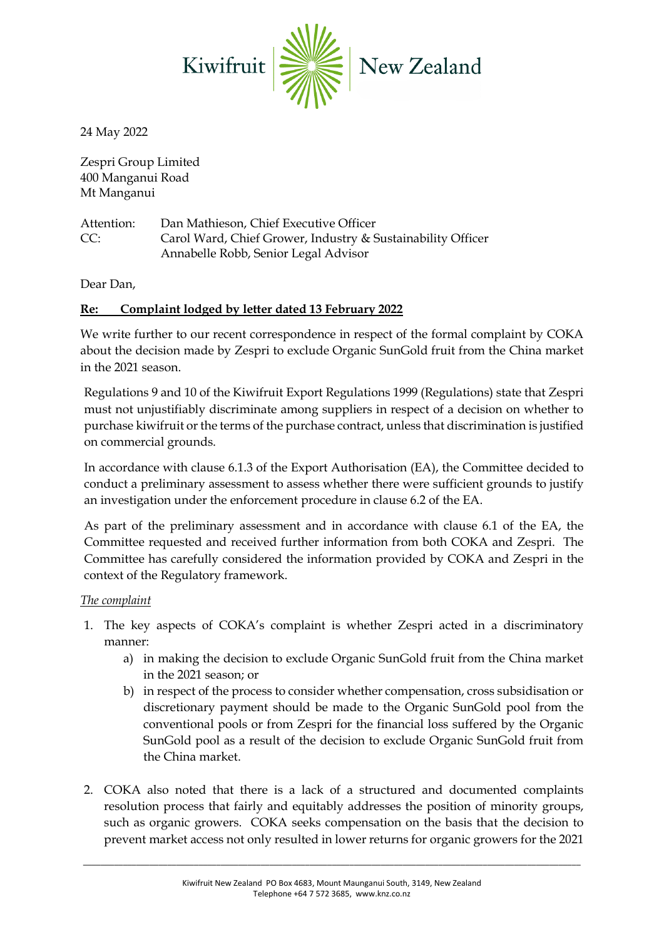

24 May 2022

Zespri Group Limited 400 Manganui Road Mt Manganui

Attention: Dan Mathieson, Chief Executive Officer CC: Carol Ward, Chief Grower, Industry & Sustainability Officer Annabelle Robb, Senior Legal Advisor

Dear Dan,

## **Re: Complaint lodged by letter dated 13 February 2022**

We write further to our recent correspondence in respect of the formal complaint by COKA about the decision made by Zespri to exclude Organic SunGold fruit from the China market in the 2021 season.

Regulations 9 and 10 of the Kiwifruit Export Regulations 1999 (Regulations) state that Zespri must not unjustifiably discriminate among suppliers in respect of a decision on whether to purchase kiwifruit or the terms of the purchase contract, unless that discrimination is justified on commercial grounds.

In accordance with clause 6.1.3 of the Export Authorisation (EA), the Committee decided to conduct a preliminary assessment to assess whether there were sufficient grounds to justify an investigation under the enforcement procedure in clause 6.2 of the EA.

As part of the preliminary assessment and in accordance with clause 6.1 of the EA, the Committee requested and received further information from both COKA and Zespri. The Committee has carefully considered the information provided by COKA and Zespri in the context of the Regulatory framework.

### *The complaint*

- 1. The key aspects of COKA's complaint is whether Zespri acted in a discriminatory manner:
	- a) in making the decision to exclude Organic SunGold fruit from the China market in the 2021 season; or
	- b) in respect of the process to consider whether compensation, cross subsidisation or discretionary payment should be made to the Organic SunGold pool from the conventional pools or from Zespri for the financial loss suffered by the Organic SunGold pool as a result of the decision to exclude Organic SunGold fruit from the China market.
- 2. COKA also noted that there is a lack of a structured and documented complaints resolution process that fairly and equitably addresses the position of minority groups, such as organic growers. COKA seeks compensation on the basis that the decision to prevent market access not only resulted in lower returns for organic growers for the 2021

\_\_\_\_\_\_\_\_\_\_\_\_\_\_\_\_\_\_\_\_\_\_\_\_\_\_\_\_\_\_\_\_\_\_\_\_\_\_\_\_\_\_\_\_\_\_\_\_\_\_\_\_\_\_\_\_\_\_\_\_\_\_\_\_\_\_\_\_\_\_\_\_\_\_\_\_\_\_\_\_\_\_\_\_\_\_\_\_\_\_\_\_\_\_\_\_\_\_\_\_\_\_\_\_\_\_\_\_\_\_\_\_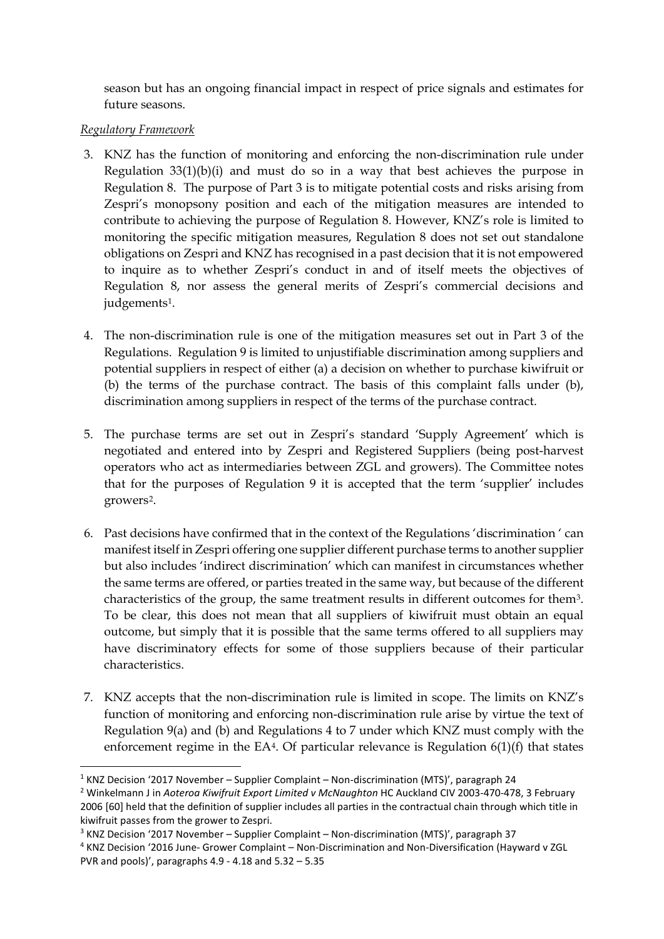season but has an ongoing financial impact in respect of price signals and estimates for future seasons.

### *Regulatory Framework*

- 3. KNZ has the function of monitoring and enforcing the non-discrimination rule under Regulation 33(1)(b)(i) and must do so in a way that best achieves the purpose in Regulation 8. The purpose of Part 3 is to mitigate potential costs and risks arising from Zespri's monopsony position and each of the mitigation measures are intended to contribute to achieving the purpose of Regulation 8. However, KNZ's role is limited to monitoring the specific mitigation measures, Regulation 8 does not set out standalone obligations on Zespri and KNZ has recognised in a past decision that it is not empowered to inquire as to whether Zespri's conduct in and of itself meets the objectives of Regulation 8, nor assess the general merits of Zespri's commercial decisions and judgements<sup>[1](#page-1-0)</sup>.
- 4. The non-discrimination rule is one of the mitigation measures set out in Part 3 of the Regulations. Regulation 9 is limited to unjustifiable discrimination among suppliers and potential suppliers in respect of either (a) a decision on whether to purchase kiwifruit or (b) the terms of the purchase contract. The basis of this complaint falls under (b), discrimination among suppliers in respect of the terms of the purchase contract.
- 5. The purchase terms are set out in Zespri's standard 'Supply Agreement' which is negotiated and entered into by Zespri and Registered Suppliers (being post-harvest operators who act as intermediaries between ZGL and growers). The Committee notes that for the purposes of Regulation 9 it is accepted that the term 'supplier' includes growers[2](#page-1-1).
- 6. Past decisions have confirmed that in the context of the Regulations 'discrimination ' can manifest itself in Zespri offering one supplier different purchase terms to another supplier but also includes 'indirect discrimination' which can manifest in circumstances whether the same terms are offered, or parties treated in the same way, but because of the different characteristics of the group, the same treatment results in different outcomes for them[3.](#page-1-2) To be clear, this does not mean that all suppliers of kiwifruit must obtain an equal outcome, but simply that it is possible that the same terms offered to all suppliers may have discriminatory effects for some of those suppliers because of their particular characteristics.
- <span id="page-1-4"></span>7. KNZ accepts that the non-discrimination rule is limited in scope. The limits on KNZ's function of monitoring and enforcing non-discrimination rule arise by virtue the text of Regulation 9(a) and (b) and Regulations 4 to 7 under which KNZ must comply with the enforcement regime in the EA<sup>[4](#page-1-3)</sup>. Of particular relevance is Regulation  $6(1)(f)$  that states

<span id="page-1-0"></span> $1$  KNZ Decision '2017 November – Supplier Complaint – Non-discrimination (MTS)', paragraph 24

<span id="page-1-1"></span><sup>2</sup> Winkelmann J in *Aoteroa Kiwifruit Export Limited v McNaughton* HC Auckland CIV 2003-470-478, 3 February 2006 [60] held that the definition of supplier includes all parties in the contractual chain through which title in

<span id="page-1-2"></span>kiwifruit passes from the grower to Zespri.<br><sup>3</sup> KNZ Decision '2017 November – Supplier Complaint – Non-discrimination (MTS)', paragraph 37

<span id="page-1-3"></span><sup>4</sup> KNZ Decision '2016 June- Grower Complaint – Non-Discrimination and Non-Diversification (Hayward v ZGL PVR and pools)', paragraphs 4.9 - 4.18 and 5.32 – 5.35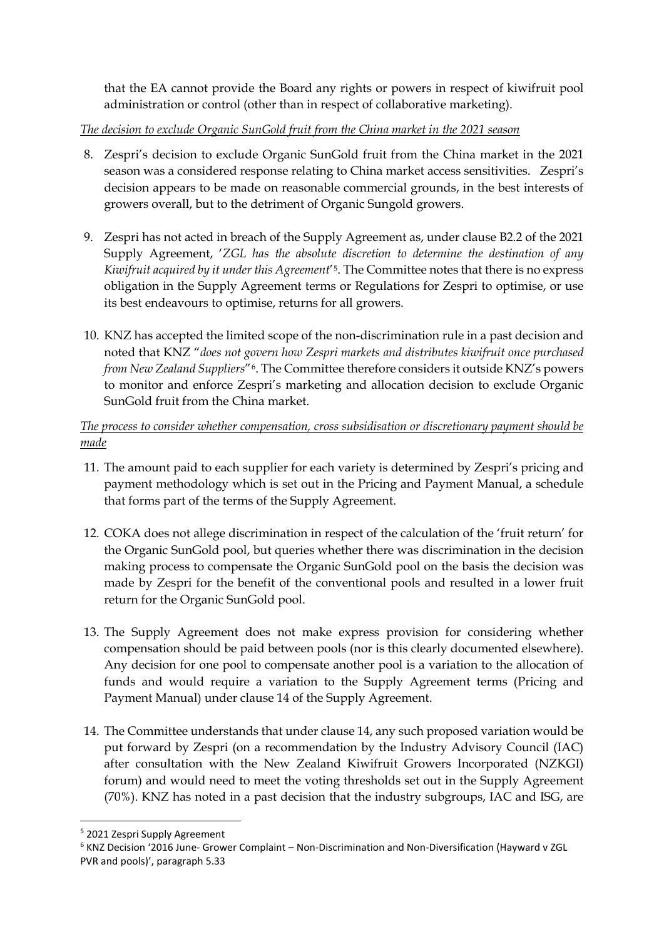that the EA cannot provide the Board any rights or powers in respect of kiwifruit pool administration or control (other than in respect of collaborative marketing).

*The decision to exclude Organic SunGold fruit from the China market in the 2021 season*

- 8. Zespri's decision to exclude Organic SunGold fruit from the China market in the 2021 season was a considered response relating to China market access sensitivities. Zespri's decision appears to be made on reasonable commercial grounds, in the best interests of growers overall, but to the detriment of Organic Sungold growers.
- 9. Zespri has not acted in breach of the Supply Agreement as, under clause B2.2 of the 2021 Supply Agreement, '*ZGL has the absolute discretion to determine the destination of any Kiwifruit acquired by it under this Agreement*'[5.](#page-2-0) The Committee notes that there is no express obligation in the Supply Agreement terms or Regulations for Zespri to optimise, or use its best endeavours to optimise, returns for all growers.
- 10. KNZ has accepted the limited scope of the non-discrimination rule in a past decision and noted that KNZ "*does not govern how Zespri markets and distributes kiwifruit once purchased from New Zealand Suppliers*"[6](#page-2-1). The Committee therefore considers it outside KNZ's powers to monitor and enforce Zespri's marketing and allocation decision to exclude Organic SunGold fruit from the China market.

# *The process to consider whether compensation, cross subsidisation or discretionary payment should be made*

- 11. The amount paid to each supplier for each variety is determined by Zespri's pricing and payment methodology which is set out in the Pricing and Payment Manual, a schedule that forms part of the terms of the Supply Agreement.
- 12. COKA does not allege discrimination in respect of the calculation of the 'fruit return' for the Organic SunGold pool, but queries whether there was discrimination in the decision making process to compensate the Organic SunGold pool on the basis the decision was made by Zespri for the benefit of the conventional pools and resulted in a lower fruit return for the Organic SunGold pool.
- 13. The Supply Agreement does not make express provision for considering whether compensation should be paid between pools (nor is this clearly documented elsewhere). Any decision for one pool to compensate another pool is a variation to the allocation of funds and would require a variation to the Supply Agreement terms (Pricing and Payment Manual) under clause 14 of the Supply Agreement.
- 14. The Committee understands that under clause 14, any such proposed variation would be put forward by Zespri (on a recommendation by the Industry Advisory Council (IAC) after consultation with the New Zealand Kiwifruit Growers Incorporated (NZKGI) forum) and would need to meet the voting thresholds set out in the Supply Agreement (70%). KNZ has noted in a past decision that the industry subgroups, IAC and ISG, are

<span id="page-2-0"></span><sup>5</sup> 2021 Zespri Supply Agreement

<span id="page-2-1"></span><sup>6</sup> KNZ Decision '2016 June- Grower Complaint – Non-Discrimination and Non-Diversification (Hayward v ZGL PVR and pools)', paragraph 5.33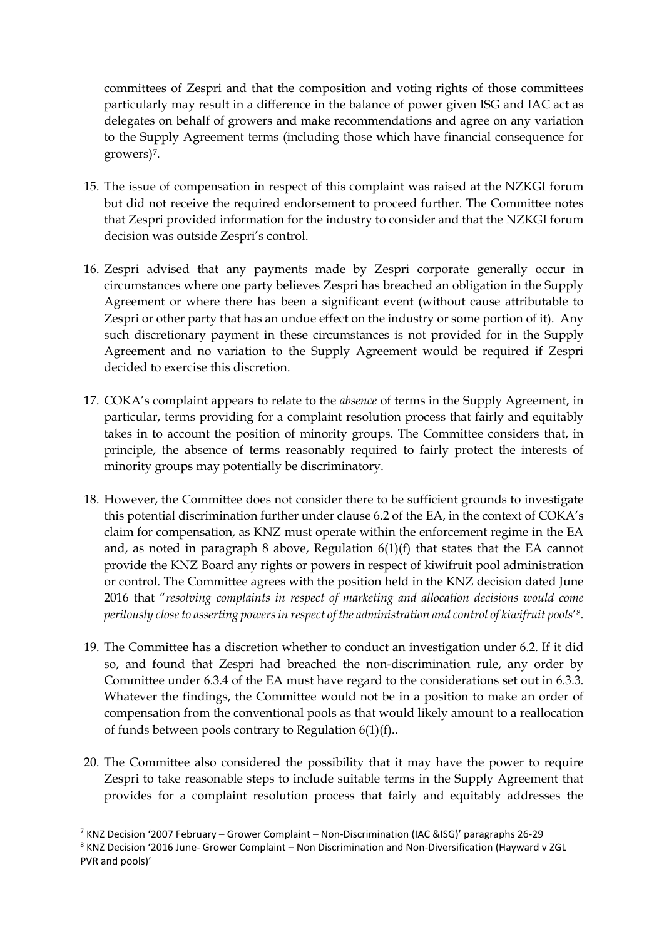committees of Zespri and that the composition and voting rights of those committees particularly may result in a difference in the balance of power given ISG and IAC act as delegates on behalf of growers and make recommendations and agree on any variation to the Supply Agreement terms (including those which have financial consequence for growers)[7.](#page-3-0)

- 15. The issue of compensation in respect of this complaint was raised at the NZKGI forum but did not receive the required endorsement to proceed further. The Committee notes that Zespri provided information for the industry to consider and that the NZKGI forum decision was outside Zespri's control.
- 16. Zespri advised that any payments made by Zespri corporate generally occur in circumstances where one party believes Zespri has breached an obligation in the Supply Agreement or where there has been a significant event (without cause attributable to Zespri or other party that has an undue effect on the industry or some portion of it). Any such discretionary payment in these circumstances is not provided for in the Supply Agreement and no variation to the Supply Agreement would be required if Zespri decided to exercise this discretion.
- 17. COKA's complaint appears to relate to the *absence* of terms in the Supply Agreement, in particular, terms providing for a complaint resolution process that fairly and equitably takes in to account the position of minority groups. The Committee considers that, in principle, the absence of terms reasonably required to fairly protect the interests of minority groups may potentially be discriminatory.
- 18. However, the Committee does not consider there to be sufficient grounds to investigate this potential discrimination further under clause 6.2 of the EA, in the context of COKA's claim for compensation, as KNZ must operate within the enforcement regime in the EA and, as noted in paragraph [8](#page-1-4) above, Regulation 6(1)(f) that states that the EA cannot provide the KNZ Board any rights or powers in respect of kiwifruit pool administration or control. The Committee agrees with the position held in the KNZ decision dated June 2016 that "*resolving complaints in respect of marketing and allocation decisions would come perilously close to asserting powers in respect of the administration and control of kiwifruit pools*'[8.](#page-3-1)
- 19. The Committee has a discretion whether to conduct an investigation under 6.2. If it did so, and found that Zespri had breached the non-discrimination rule, any order by Committee under 6.3.4 of the EA must have regard to the considerations set out in 6.3.3. Whatever the findings, the Committee would not be in a position to make an order of compensation from the conventional pools as that would likely amount to a reallocation of funds between pools contrary to Regulation 6(1)(f)..
- 20. The Committee also considered the possibility that it may have the power to require Zespri to take reasonable steps to include suitable terms in the Supply Agreement that provides for a complaint resolution process that fairly and equitably addresses the

<span id="page-3-0"></span> $7$  KNZ Decision '2007 February – Grower Complaint – Non-Discrimination (IAC &ISG)' paragraphs 26-29

<span id="page-3-1"></span><sup>8</sup> KNZ Decision '2016 June- Grower Complaint – Non Discrimination and Non-Diversification (Hayward v ZGL PVR and pools)'